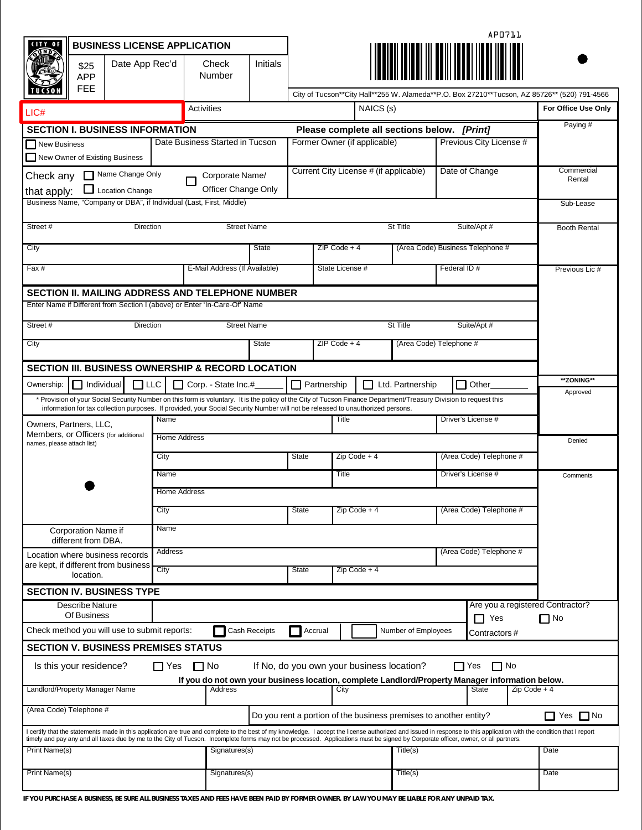| <b>BUSINESS LICENSE APPLICATION</b>                                                                                                                                                                                                                                                                                                                                                                         |                                               |                                             |                                |                 | APO711                                             |          |                     |                         |                          |              |                                                                                              |  |
|-------------------------------------------------------------------------------------------------------------------------------------------------------------------------------------------------------------------------------------------------------------------------------------------------------------------------------------------------------------------------------------------------------------|-----------------------------------------------|---------------------------------------------|--------------------------------|-----------------|----------------------------------------------------|----------|---------------------|-------------------------|--------------------------|--------------|----------------------------------------------------------------------------------------------|--|
| Date App Rec'd<br>\$25<br>APP<br><b>FEE</b>                                                                                                                                                                                                                                                                                                                                                                 |                                               | <b>Initials</b><br>Check<br>Number          |                                |                 |                                                    |          |                     |                         |                          |              |                                                                                              |  |
|                                                                                                                                                                                                                                                                                                                                                                                                             |                                               |                                             |                                |                 |                                                    |          |                     |                         |                          |              | City of Tucson**City Hall**255 W. Alameda**P.O. Box 27210**Tucson, AZ 85726** (520) 791-4566 |  |
| LIC#                                                                                                                                                                                                                                                                                                                                                                                                        |                                               | Activities                                  |                                |                 | NAICS (s)                                          |          |                     |                         |                          |              | For Office Use Only                                                                          |  |
| <b>SECTION I. BUSINESS INFORMATION</b>                                                                                                                                                                                                                                                                                                                                                                      |                                               | Please complete all sections below. [Print] |                                |                 |                                                    |          |                     |                         | Paying #                 |              |                                                                                              |  |
| New Business<br>New Owner of Existing Business                                                                                                                                                                                                                                                                                                                                                              |                                               | Date Business Started in Tucson             |                                |                 | Former Owner (if applicable)                       |          |                     |                         | Previous City License #  |              |                                                                                              |  |
| Name Change Only<br>Check any<br><b>Location Change</b><br>that apply:                                                                                                                                                                                                                                                                                                                                      |                                               | Corporate Name/<br>Officer Change Only      |                                |                 | Current City License # (if applicable)             |          |                     | Date of Change          |                          |              | Commercial<br>Rental                                                                         |  |
| Business Name, "Company or DBA", if Individual (Last, First, Middle)                                                                                                                                                                                                                                                                                                                                        |                                               |                                             |                                |                 |                                                    |          |                     |                         |                          |              | Sub-Lease                                                                                    |  |
| Street #<br>Direction                                                                                                                                                                                                                                                                                                                                                                                       |                                               | <b>Street Name</b>                          |                                |                 | St Title<br>Suite/Apt #                            |          |                     |                         |                          |              | <b>Booth Rental</b>                                                                          |  |
| City                                                                                                                                                                                                                                                                                                                                                                                                        |                                               | State                                       |                                |                 | $ZIP Code + 4$<br>(Area Code) Business Telephone # |          |                     |                         |                          |              |                                                                                              |  |
| Fax #                                                                                                                                                                                                                                                                                                                                                                                                       |                                               | E-Mail Address (If Available)               |                                | State License # |                                                    |          | Federal ID#         |                         |                          |              | Previous Lic #                                                                               |  |
| SECTION II. MAILING ADDRESS AND TELEPHONE NUMBER                                                                                                                                                                                                                                                                                                                                                            |                                               |                                             |                                |                 |                                                    |          |                     |                         |                          |              |                                                                                              |  |
| Enter Name if Different from Section I (above) or Enter 'In-Care-Of' Name                                                                                                                                                                                                                                                                                                                                   |                                               |                                             |                                |                 |                                                    |          |                     |                         |                          |              |                                                                                              |  |
| Street #<br>Direction                                                                                                                                                                                                                                                                                                                                                                                       | <b>Street Name</b><br>St Title<br>Suite/Apt # |                                             |                                |                 |                                                    |          |                     |                         |                          |              |                                                                                              |  |
| (Area Code) Telephone #<br><b>State</b><br>$ZIP Code + 4$<br>City                                                                                                                                                                                                                                                                                                                                           |                                               |                                             |                                |                 |                                                    |          |                     |                         |                          |              |                                                                                              |  |
| SECTION III. BUSINESS OWNERSHIP & RECORD LOCATION                                                                                                                                                                                                                                                                                                                                                           |                                               |                                             |                                |                 |                                                    |          |                     |                         |                          |              |                                                                                              |  |
| **ZONING**<br>$\Box$ LLC<br>Partnership<br>Other<br>Ownership:<br>$\Box$ Individual<br>Corp. - State Inc.#<br>П<br>П<br>Ltd. Partnership<br>l 1                                                                                                                                                                                                                                                             |                                               |                                             |                                |                 |                                                    |          |                     |                         |                          |              |                                                                                              |  |
| * Provision of your Social Security Number on this form is voluntary. It is the policy of the City of Tucson Finance Department/Treasury Division to request this<br>information for tax collection purposes. If provided, your Social Security Number will not be released to unauthorized persons.                                                                                                        |                                               |                                             |                                |                 |                                                    |          |                     |                         |                          |              | Approved                                                                                     |  |
| Driver's License #<br>Name<br>Title<br>Owners, Partners, LLC,                                                                                                                                                                                                                                                                                                                                               |                                               |                                             |                                |                 |                                                    |          |                     |                         |                          |              |                                                                                              |  |
| Members, or Officers (for additional<br>Home Address<br>names, please attach list)                                                                                                                                                                                                                                                                                                                          |                                               |                                             |                                |                 |                                                    |          |                     | Denied                  |                          |              |                                                                                              |  |
| City                                                                                                                                                                                                                                                                                                                                                                                                        |                                               |                                             |                                |                 | State<br>$Zip Code + 4$                            |          |                     | (Area Code) Telephone # |                          |              |                                                                                              |  |
| Name                                                                                                                                                                                                                                                                                                                                                                                                        |                                               |                                             |                                |                 | Title                                              |          |                     | Driver's License #      |                          |              | Comments                                                                                     |  |
|                                                                                                                                                                                                                                                                                                                                                                                                             | <b>Home Address</b>                           |                                             |                                |                 |                                                    |          |                     |                         |                          |              |                                                                                              |  |
| City                                                                                                                                                                                                                                                                                                                                                                                                        |                                               |                                             |                                |                 | <b>State</b><br>$Zip Code + 4$                     |          |                     | (Area Code) Telephone # |                          |              |                                                                                              |  |
| Corporation Name if                                                                                                                                                                                                                                                                                                                                                                                         | Name                                          |                                             |                                |                 |                                                    |          |                     |                         |                          |              |                                                                                              |  |
| different from DBA.<br>Location where business records                                                                                                                                                                                                                                                                                                                                                      | <b>Address</b><br>(Area Code) Telephone #     |                                             |                                |                 |                                                    |          |                     |                         |                          |              |                                                                                              |  |
| are kept, if different from business                                                                                                                                                                                                                                                                                                                                                                        | City                                          |                                             | <b>State</b><br>$Zip Code + 4$ |                 |                                                    |          |                     |                         |                          |              |                                                                                              |  |
| location.                                                                                                                                                                                                                                                                                                                                                                                                   |                                               |                                             |                                |                 |                                                    |          |                     |                         |                          |              |                                                                                              |  |
| <b>SECTION IV. BUSINESS TYPE</b><br><b>Describe Nature</b>                                                                                                                                                                                                                                                                                                                                                  |                                               |                                             |                                |                 |                                                    |          |                     |                         |                          |              | Are you a registered Contractor?                                                             |  |
| Of Business                                                                                                                                                                                                                                                                                                                                                                                                 |                                               |                                             |                                |                 |                                                    |          |                     |                         | $\Box$ Yes               |              | $\Box$ No                                                                                    |  |
| Check method you will use to submit reports:                                                                                                                                                                                                                                                                                                                                                                |                                               |                                             | Cash Receipts                  | $\mathcal{L}$   | Accrual                                            |          | Number of Employees |                         | Contractors #            |              |                                                                                              |  |
| <b>SECTION V. BUSINESS PREMISES STATUS</b>                                                                                                                                                                                                                                                                                                                                                                  |                                               |                                             |                                |                 |                                                    |          |                     |                         |                          |              |                                                                                              |  |
| Is this your residence?                                                                                                                                                                                                                                                                                                                                                                                     | $\prod$ Yes                                   | I No                                        |                                |                 | If No, do you own your business location?          |          |                     |                         | $\prod$ Yes<br>$\Box$ No |              |                                                                                              |  |
| If you do not own your business location, complete Landlord/Property Manager information below.<br>Landlord/Property Manager Name<br>Address<br>$Zip Code + 4$<br>City<br>State                                                                                                                                                                                                                             |                                               |                                             |                                |                 |                                                    |          |                     |                         |                          |              |                                                                                              |  |
| (Area Code) Telephone #<br>Do you rent a portion of the business premises to another entity?<br>Yes                                                                                                                                                                                                                                                                                                         |                                               |                                             |                                |                 |                                                    |          |                     |                         |                          | $\square$ No |                                                                                              |  |
| I certify that the statements made in this application are true and complete to the best of my knowledge. I accept the license authorized and issued in response to this application with the condition that I report<br>timely and pay any and all taxes due by me to the City of Tucson. Incomplete forms may not be processed. Applications must be signed by Corporate officer, owner, or all partners. |                                               |                                             |                                |                 |                                                    |          |                     |                         |                          |              |                                                                                              |  |
| Print Name(s)                                                                                                                                                                                                                                                                                                                                                                                               |                                               | Signatures(s)                               |                                |                 |                                                    | Title(s) |                     |                         |                          | Date         |                                                                                              |  |
| Print Name(s)                                                                                                                                                                                                                                                                                                                                                                                               |                                               | Signatures(s)                               |                                |                 |                                                    | Title(s) |                     |                         |                          | Date         |                                                                                              |  |